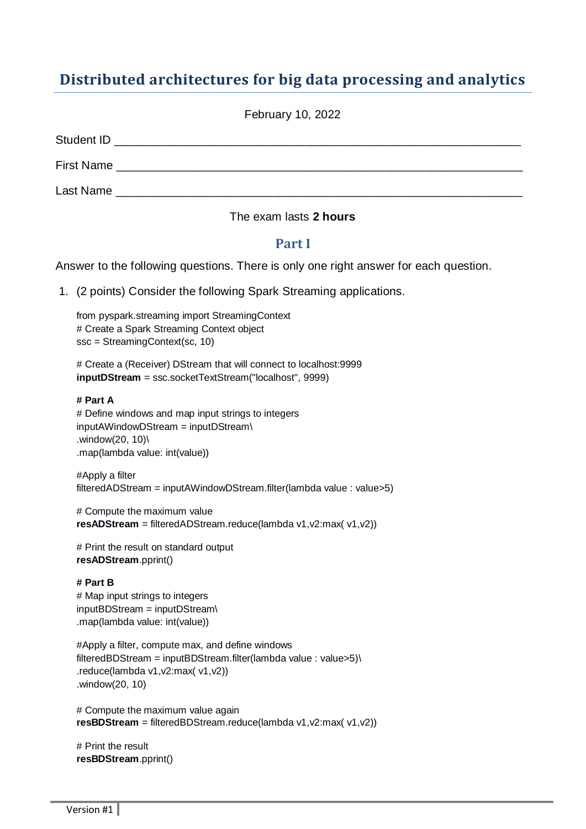# **Distributed architectures for big data processing and analytics**

|                                                                                                               | February 10, 2022 |  |
|---------------------------------------------------------------------------------------------------------------|-------------------|--|
|                                                                                                               |                   |  |
|                                                                                                               |                   |  |
| Last Name and the contract of the contract of the contract of the contract of the contract of the contract of |                   |  |

#### The exam lasts **2 hours**

#### **Part I**

Answer to the following questions. There is only one right answer for each question.

1. (2 points) Consider the following Spark Streaming applications.

from pyspark.streaming import StreamingContext # Create a Spark Streaming Context object ssc = StreamingContext(sc, 10)

# Create a (Receiver) DStream that will connect to localhost:9999 **inputDStream** = ssc.socketTextStream("localhost", 9999)

#### **# Part A**

# Define windows and map input strings to integers inputAWindowDStream = inputDStream\ .window(20, 10)\ .map(lambda value: int(value))

#Apply a filter filteredADStream = inputAWindowDStream.filter(lambda value : value>5)

# Compute the maximum value **resADStream** = filteredADStream.reduce(lambda v1,v2:max( v1,v2))

# Print the result on standard output **resADStream**.pprint()

#### **# Part B**

# Map input strings to integers inputBDStream = inputDStream\ .map(lambda value: int(value))

#Apply a filter, compute max, and define windows filteredBDStream = inputBDStream.filter(lambda value : value>5)\ .reduce(lambda v1,v2:max( v1,v2)) .window(20, 10)

# Compute the maximum value again **resBDStream** = filteredBDStream.reduce(lambda v1,v2:max( v1,v2))

# Print the result **resBDStream**.pprint()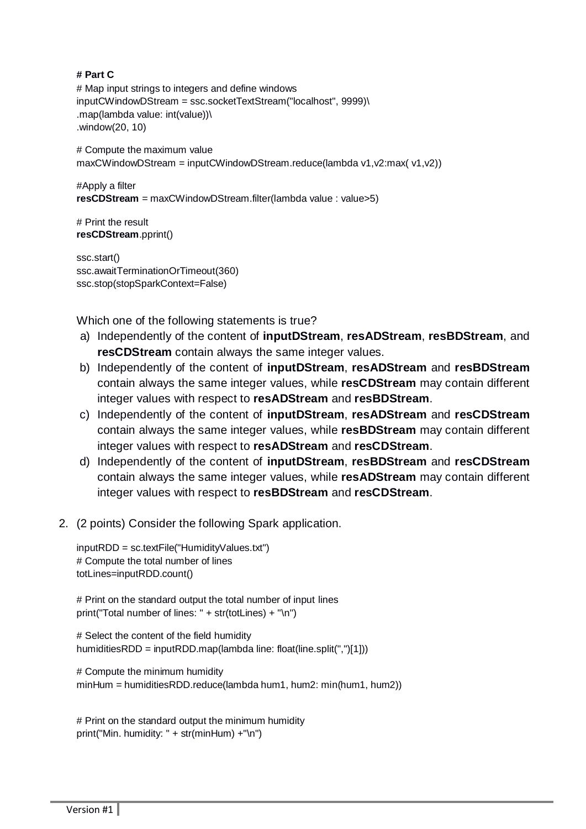#### **# Part C**

# Map input strings to integers and define windows inputCWindowDStream = ssc.socketTextStream("localhost", 9999)\ .map(lambda value: int(value))\ .window(20, 10)

# Compute the maximum value maxCWindowDStream = inputCWindowDStream.reduce(lambda v1,v2:max( v1,v2))

#Apply a filter **resCDStream** = maxCWindowDStream.filter(lambda value : value>5)

# Print the result **resCDStream**.pprint()

ssc.start() ssc.awaitTerminationOrTimeout(360) ssc.stop(stopSparkContext=False)

Which one of the following statements is true?

- a) Independently of the content of **inputDStream**, **resADStream**, **resBDStream**, and **resCDStream** contain always the same integer values.
- b) Independently of the content of **inputDStream**, **resADStream** and **resBDStream** contain always the same integer values, while **resCDStream** may contain different integer values with respect to **resADStream** and **resBDStream**.
- c) Independently of the content of **inputDStream**, **resADStream** and **resCDStream** contain always the same integer values, while **resBDStream** may contain different integer values with respect to **resADStream** and **resCDStream**.
- d) Independently of the content of **inputDStream**, **resBDStream** and **resCDStream** contain always the same integer values, while **resADStream** may contain different integer values with respect to **resBDStream** and **resCDStream**.
- 2. (2 points) Consider the following Spark application.

inputRDD = sc.textFile("HumidityValues.txt") # Compute the total number of lines totLines=inputRDD.count()

# Print on the standard output the total number of input lines print("Total number of lines: " + str(totLines) + "\n")

# Select the content of the field humidity humiditiesRDD = inputRDD.map(lambda line: float(line.split(",")[1]))

# Compute the minimum humidity minHum = humiditiesRDD.reduce(lambda hum1, hum2: min(hum1, hum2))

```
# Print on the standard output the minimum humidity
print("Min. humidity: " + str(minHum) +"\n")
```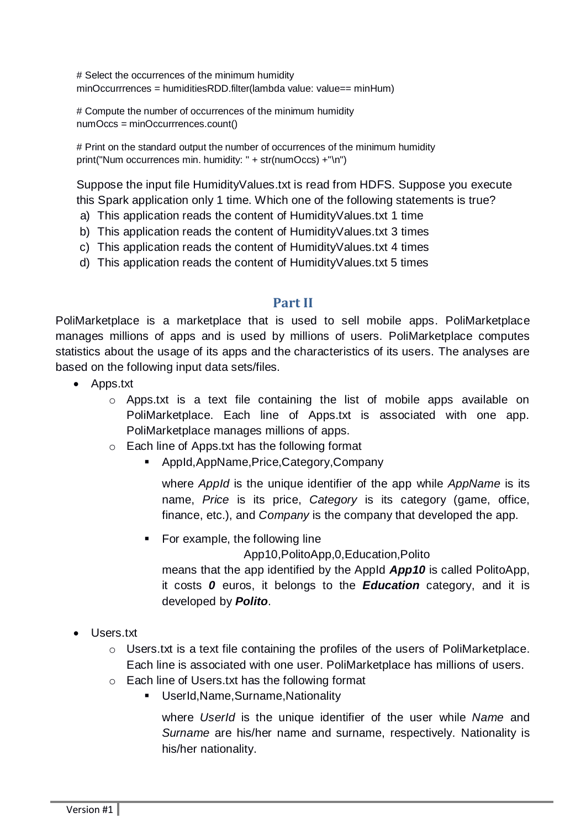# Select the occurrences of the minimum humidity minOccurrrences = humiditiesRDD.filter(lambda value: value== minHum)

# Compute the number of occurrences of the minimum humidity numOccs = minOccurrrences.count()

# Print on the standard output the number of occurrences of the minimum humidity print("Num occurrences min. humidity: " + str(numOccs) +"\n")

Suppose the input file HumidityValues.txt is read from HDFS. Suppose you execute this Spark application only 1 time. Which one of the following statements is true?

- a) This application reads the content of HumidityValues.txt 1 time
- b) This application reads the content of HumidityValues.txt 3 times
- c) This application reads the content of HumidityValues.txt 4 times
- d) This application reads the content of HumidityValues.txt 5 times

## **Part II**

PoliMarketplace is a marketplace that is used to sell mobile apps. PoliMarketplace manages millions of apps and is used by millions of users. PoliMarketplace computes statistics about the usage of its apps and the characteristics of its users. The analyses are based on the following input data sets/files.

- Apps.txt
	- o Apps.txt is a text file containing the list of mobile apps available on PoliMarketplace. Each line of Apps.txt is associated with one app. PoliMarketplace manages millions of apps.
	- o Each line of Apps.txt has the following format
		- AppId,AppName,Price,Category,Company

where *AppId* is the unique identifier of the app while *AppName* is its name, *Price* is its price, *Category* is its category (game, office, finance, etc.), and *Company* is the company that developed the app.

• For example, the following line

App10,PolitoApp,0,Education,Polito

means that the app identified by the AppId *App10* is called PolitoApp, it costs *0* euros, it belongs to the *Education* category, and it is developed by *Polito*.

- Users.txt
	- o Users.txt is a text file containing the profiles of the users of PoliMarketplace. Each line is associated with one user. PoliMarketplace has millions of users.
	- o Each line of Users.txt has the following format
		- UserId,Name,Surname,Nationality

where *UserId* is the unique identifier of the user while *Name* and *Surname* are his/her name and surname, respectively. Nationality is his/her nationality.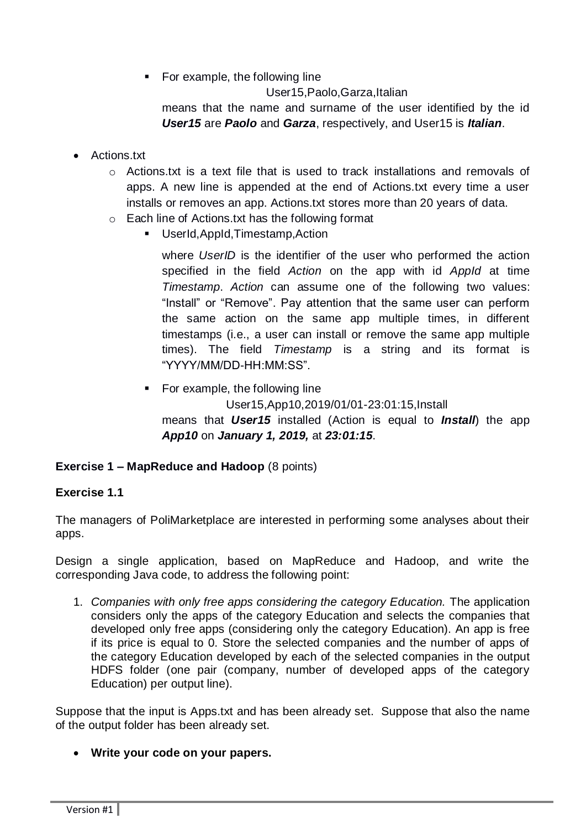• For example, the following line

User15,Paolo,Garza,Italian

means that the name and surname of the user identified by the id *User15* are *Paolo* and *Garza*, respectively, and User15 is *Italian*.

- Actions.txt
	- $\circ$  Actions.txt is a text file that is used to track installations and removals of apps. A new line is appended at the end of Actions.txt every time a user installs or removes an app. Actions.txt stores more than 20 years of data.
	- o Each line of Actions.txt has the following format
		- UserId,AppId,Timestamp,Action

where *UserID* is the identifier of the user who performed the action specified in the field *Action* on the app with id *AppId* at time *Timestamp*. *Action* can assume one of the following two values: "Install" or "Remove". Pay attention that the same user can perform the same action on the same app multiple times, in different timestamps (i.e., a user can install or remove the same app multiple times). The field *Timestamp* is a string and its format is "YYYY/MM/DD-HH:MM:SS".

• For example, the following line User15,App10,2019/01/01-23:01:15,Install means that *User15* installed (Action is equal to *Install*) the app *App10* on *January 1, 2019,* at *23:01:15*.

#### **Exercise 1 – MapReduce and Hadoop** (8 points)

#### **Exercise 1.1**

The managers of PoliMarketplace are interested in performing some analyses about their apps.

Design a single application, based on MapReduce and Hadoop, and write the corresponding Java code, to address the following point:

1. *Companies with only free apps considering the category Education.* The application considers only the apps of the category Education and selects the companies that developed only free apps (considering only the category Education). An app is free if its price is equal to 0. Store the selected companies and the number of apps of the category Education developed by each of the selected companies in the output HDFS folder (one pair (company, number of developed apps of the category Education) per output line).

Suppose that the input is Apps.txt and has been already set. Suppose that also the name of the output folder has been already set.

**Write your code on your papers.**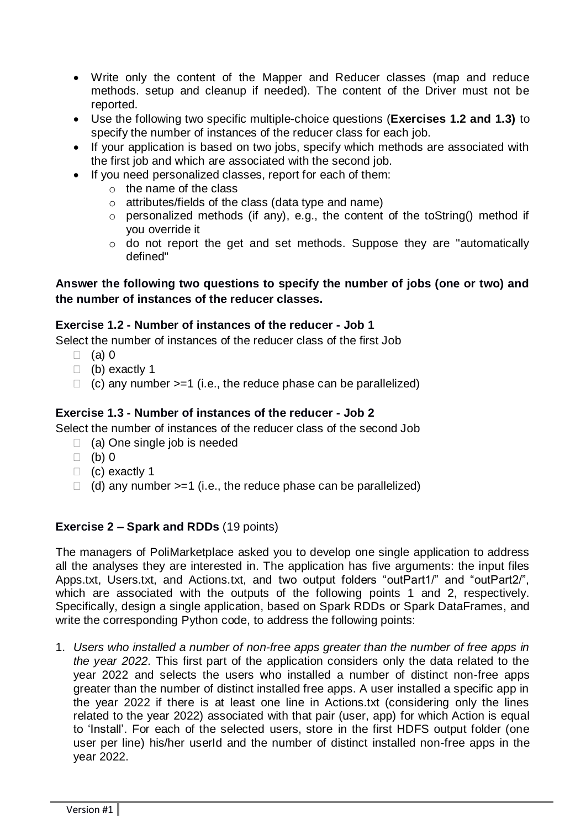- Write only the content of the Mapper and Reducer classes (map and reduce methods. setup and cleanup if needed). The content of the Driver must not be reported.
- Use the following two specific multiple-choice questions (**Exercises 1.2 and 1.3)** to specify the number of instances of the reducer class for each job.
- If your application is based on two jobs, specify which methods are associated with the first job and which are associated with the second job.
- If you need personalized classes, report for each of them:
	- o the name of the class
	- o attributes/fields of the class (data type and name)
	- o personalized methods (if any), e.g., the content of the toString() method if you override it
	- o do not report the get and set methods. Suppose they are "automatically defined"

## **Answer the following two questions to specify the number of jobs (one or two) and the number of instances of the reducer classes.**

#### **Exercise 1.2 - Number of instances of the reducer - Job 1**

Select the number of instances of the reducer class of the first Job

- $\Box$  (a) 0
- (b) exactly 1
- $\Box$  (c) any number  $>=1$  (i.e., the reduce phase can be parallelized)

## **Exercise 1.3 - Number of instances of the reducer - Job 2**

Select the number of instances of the reducer class of the second Job

- $\Box$  (a) One single job is needed
- $\Box$  (b) 0
- $\Box$  (c) exactly 1
- $\Box$  (d) any number >=1 (i.e., the reduce phase can be parallelized)

# **Exercise 2 – Spark and RDDs** (19 points)

The managers of PoliMarketplace asked you to develop one single application to address all the analyses they are interested in. The application has five arguments: the input files Apps.txt, Users.txt, and Actions.txt, and two output folders "outPart1/" and "outPart2/", which are associated with the outputs of the following points 1 and 2, respectively. Specifically, design a single application, based on Spark RDDs or Spark DataFrames, and write the corresponding Python code, to address the following points:

1. *Users who installed a number of non-free apps greater than the number of free apps in the year 2022.* This first part of the application considers only the data related to the year 2022 and selects the users who installed a number of distinct non-free apps greater than the number of distinct installed free apps. A user installed a specific app in the year 2022 if there is at least one line in Actions.txt (considering only the lines related to the year 2022) associated with that pair (user, app) for which Action is equal to 'Install'. For each of the selected users, store in the first HDFS output folder (one user per line) his/her userId and the number of distinct installed non-free apps in the year 2022.